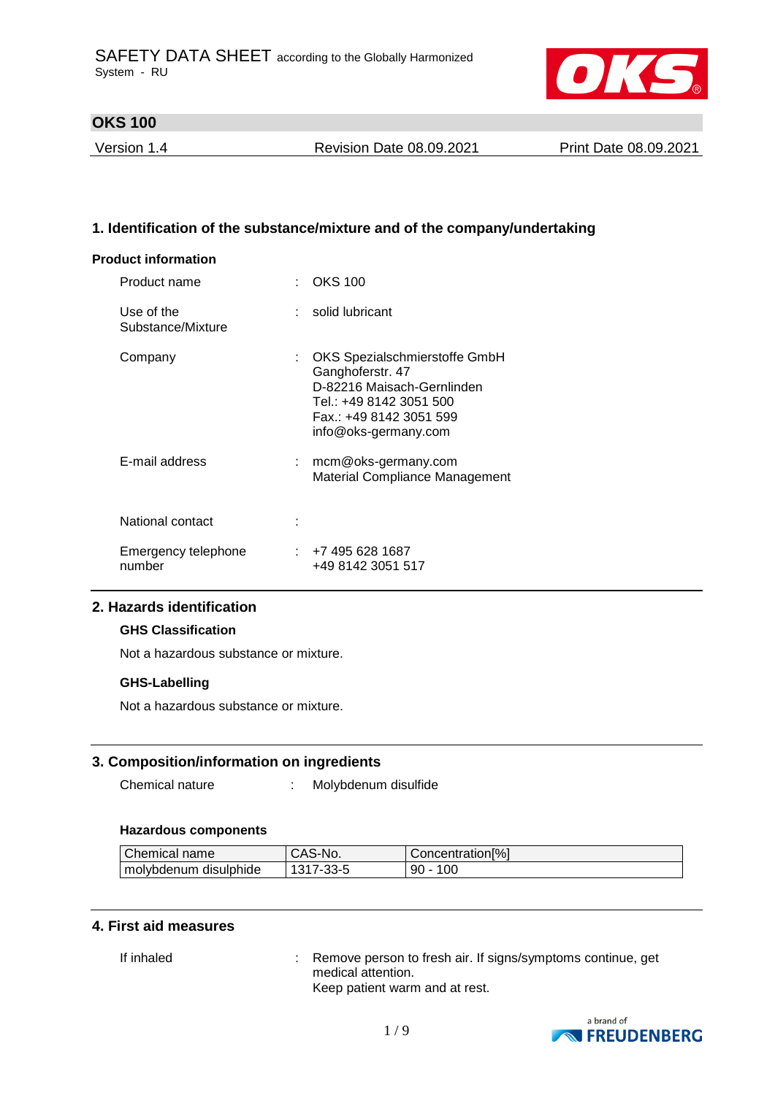

Version 1.4 Revision Date 08.09.2021 Print Date 08.09.2021

## **1. Identification of the substance/mixture and of the company/undertaking**

#### **Product information**

| Product name                    |    | : OKS 100                                                                                                                                                     |
|---------------------------------|----|---------------------------------------------------------------------------------------------------------------------------------------------------------------|
| Use of the<br>Substance/Mixture |    | solid lubricant                                                                                                                                               |
| Company                         | t. | OKS Spezialschmierstoffe GmbH<br>Ganghoferstr. 47<br>D-82216 Maisach-Gernlinden<br>Tel.: +49 8142 3051 500<br>Fax.: +49 8142 3051 599<br>info@oks-germany.com |
| E-mail address                  | t. | mcm@oks-germany.com<br>Material Compliance Management                                                                                                         |
| National contact                |    |                                                                                                                                                               |
| Emergency telephone<br>number   |    | : +7 495 628 1687<br>+49 8142 3051 517                                                                                                                        |

### **2. Hazards identification**

#### **GHS Classification**

Not a hazardous substance or mixture.

#### **GHS-Labelling**

Not a hazardous substance or mixture.

#### **3. Composition/information on ingredients**

Chemical nature : Molybdenum disulfide

#### **Hazardous components**

| Chemical<br>name      | $S-N0$<br>-AS- | Concentration <sup>[%]</sup> |
|-----------------------|----------------|------------------------------|
| molybdenum disulphide | $\sim$<br>כ ו  | 100<br>90<br>-               |

### **4. First aid measures**

If inhaled : Remove person to fresh air. If signs/symptoms continue, get medical attention. Keep patient warm and at rest.

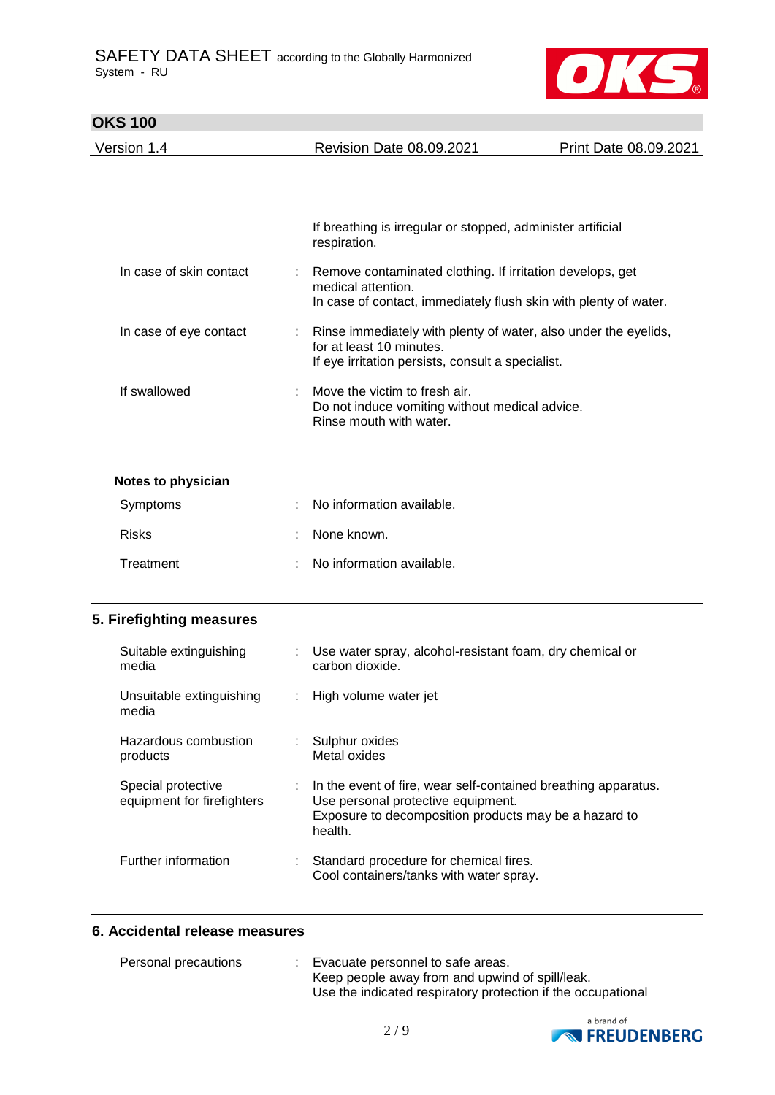

| <b>OKS 100</b>            |   |                                                                                                                                                     |                       |
|---------------------------|---|-----------------------------------------------------------------------------------------------------------------------------------------------------|-----------------------|
| Version 1.4               |   | <b>Revision Date 08.09.2021</b>                                                                                                                     | Print Date 08.09.2021 |
|                           |   |                                                                                                                                                     |                       |
|                           |   | If breathing is irregular or stopped, administer artificial<br>respiration.                                                                         |                       |
| In case of skin contact   |   | Remove contaminated clothing. If irritation develops, get<br>medical attention.<br>In case of contact, immediately flush skin with plenty of water. |                       |
| In case of eye contact    | ÷ | Rinse immediately with plenty of water, also under the eyelids,<br>for at least 10 minutes.<br>If eye irritation persists, consult a specialist.    |                       |
| If swallowed              |   | Move the victim to fresh air.<br>Do not induce vomiting without medical advice.<br>Rinse mouth with water.                                          |                       |
| <b>Notes to physician</b> |   |                                                                                                                                                     |                       |
| Symptoms                  |   | No information available.                                                                                                                           |                       |
| <b>Risks</b>              |   | None known.                                                                                                                                         |                       |
|                           |   |                                                                                                                                                     |                       |

Treatment : No information available.

## **5. Firefighting measures**

| Suitable extinguishing<br>media                  |    | Use water spray, alcohol-resistant foam, dry chemical or<br>carbon dioxide.                                                                                                           |
|--------------------------------------------------|----|---------------------------------------------------------------------------------------------------------------------------------------------------------------------------------------|
| Unsuitable extinguishing<br>media                | ÷. | High volume water jet                                                                                                                                                                 |
| Hazardous combustion<br>products                 | ÷. | Sulphur oxides<br>Metal oxides                                                                                                                                                        |
| Special protective<br>equipment for firefighters |    | $\therefore$ In the event of fire, wear self-contained breathing apparatus.<br>Use personal protective equipment.<br>Exposure to decomposition products may be a hazard to<br>health. |
| Further information                              | t. | Standard procedure for chemical fires.<br>Cool containers/tanks with water spray.                                                                                                     |

## **6. Accidental release measures**

| Personal precautions | Evacuate personnel to safe areas.                            |  |
|----------------------|--------------------------------------------------------------|--|
|                      | Keep people away from and upwind of spill/leak.              |  |
|                      | Use the indicated respiratory protection if the occupational |  |

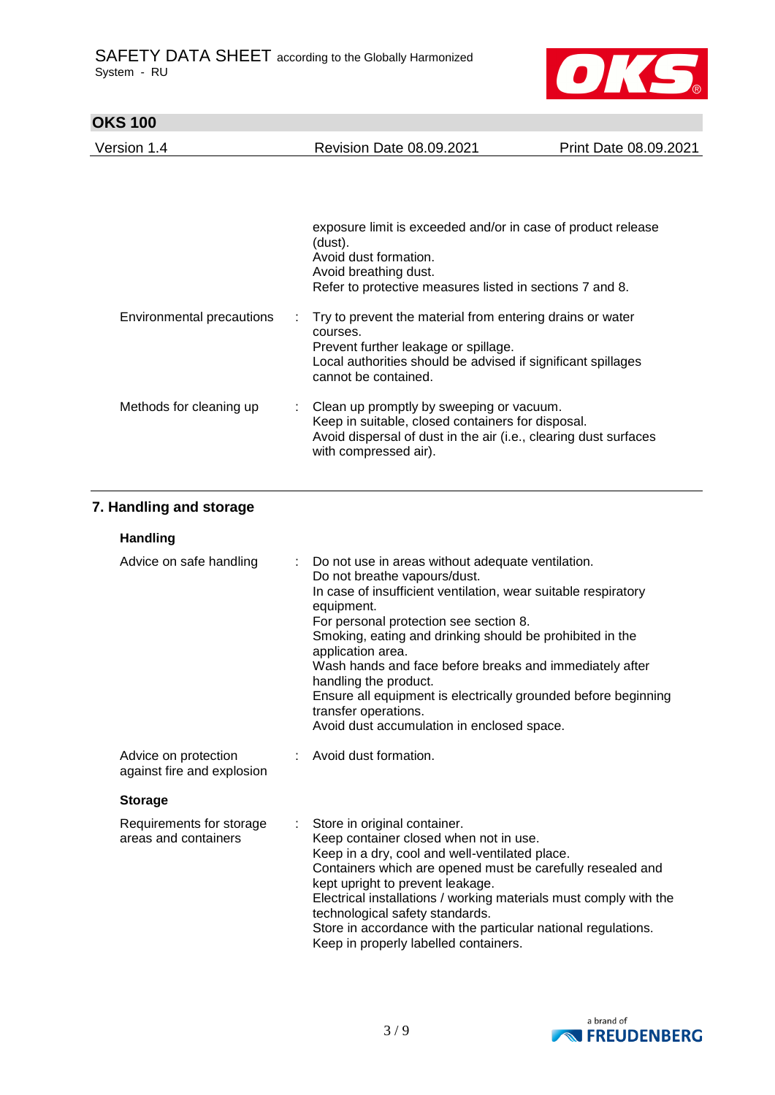

| Version 1.4               | Revision Date 08.09.2021                                                                                                                                                                              | Print Date 08.09.2021 |
|---------------------------|-------------------------------------------------------------------------------------------------------------------------------------------------------------------------------------------------------|-----------------------|
|                           |                                                                                                                                                                                                       |                       |
|                           | exposure limit is exceeded and/or in case of product release<br>(dust).<br>Avoid dust formation.<br>Avoid breathing dust.<br>Refer to protective measures listed in sections 7 and 8.                 |                       |
| Environmental precautions | Try to prevent the material from entering drains or water<br>courses.<br>Prevent further leakage or spillage.<br>Local authorities should be advised if significant spillages<br>cannot be contained. |                       |
| Methods for cleaning up   | : Clean up promptly by sweeping or vacuum.<br>Keep in suitable, closed containers for disposal.<br>Avoid dispersal of dust in the air (i.e., clearing dust surfaces<br>with compressed air).          |                       |

# **7. Handling and storage**

| <b>Handling</b>                                    |                           |                                                                                                                                                                                                                                                                                                                                                                                                                                                                                                                            |
|----------------------------------------------------|---------------------------|----------------------------------------------------------------------------------------------------------------------------------------------------------------------------------------------------------------------------------------------------------------------------------------------------------------------------------------------------------------------------------------------------------------------------------------------------------------------------------------------------------------------------|
| Advice on safe handling                            |                           | : Do not use in areas without adequate ventilation.<br>Do not breathe vapours/dust.<br>In case of insufficient ventilation, wear suitable respiratory<br>equipment.<br>For personal protection see section 8.<br>Smoking, eating and drinking should be prohibited in the<br>application area.<br>Wash hands and face before breaks and immediately after<br>handling the product.<br>Ensure all equipment is electrically grounded before beginning<br>transfer operations.<br>Avoid dust accumulation in enclosed space. |
| Advice on protection<br>against fire and explosion |                           | : Avoid dust formation.                                                                                                                                                                                                                                                                                                                                                                                                                                                                                                    |
| <b>Storage</b>                                     |                           |                                                                                                                                                                                                                                                                                                                                                                                                                                                                                                                            |
| Requirements for storage<br>areas and containers   | $\mathbb{R}^{\mathbb{Z}}$ | Store in original container.<br>Keep container closed when not in use.<br>Keep in a dry, cool and well-ventilated place.<br>Containers which are opened must be carefully resealed and<br>kept upright to prevent leakage.<br>Electrical installations / working materials must comply with the<br>technological safety standards.                                                                                                                                                                                         |

Store in accordance with the particular national regulations. Keep in properly labelled containers.

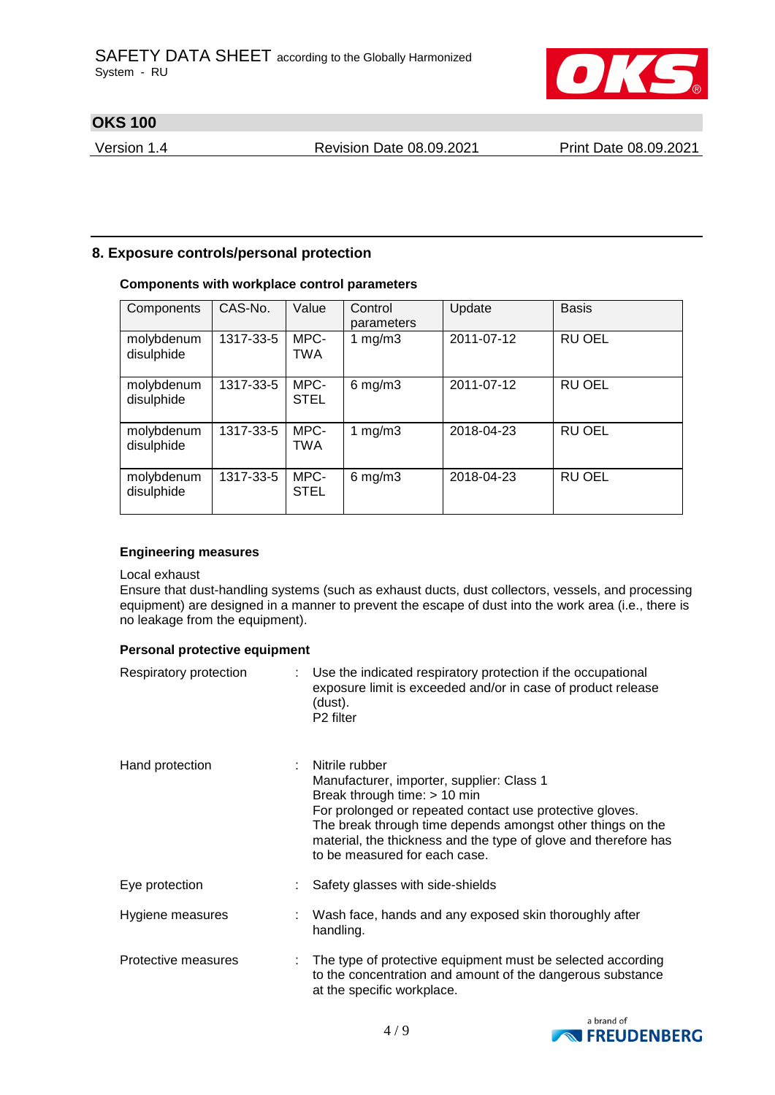

Version 1.4 Revision Date 08.09.2021 Print Date 08.09.2021

## **8. Exposure controls/personal protection**

### **Components with workplace control parameters**

| Components               | CAS-No.   | Value               | Control<br>parameters | Update     | <b>Basis</b>  |
|--------------------------|-----------|---------------------|-----------------------|------------|---------------|
| molybdenum<br>disulphide | 1317-33-5 | MPC-<br>TWA         | 1 $mg/m3$             | 2011-07-12 | <b>RU OEL</b> |
| molybdenum<br>disulphide | 1317-33-5 | MPC-<br><b>STEL</b> | $6$ mg/m $3$          | 2011-07-12 | RU OEL        |
| molybdenum<br>disulphide | 1317-33-5 | MPC-<br><b>TWA</b>  | 1 mg/m $3$            | 2018-04-23 | <b>RU OEL</b> |
| molybdenum<br>disulphide | 1317-33-5 | MPC-<br><b>STEL</b> | $6$ mg/m $3$          | 2018-04-23 | <b>RU OEL</b> |

#### **Engineering measures**

#### Local exhaust

Ensure that dust-handling systems (such as exhaust ducts, dust collectors, vessels, and processing equipment) are designed in a manner to prevent the escape of dust into the work area (i.e., there is no leakage from the equipment).

#### **Personal protective equipment**

| Respiratory protection | Use the indicated respiratory protection if the occupational<br>exposure limit is exceeded and/or in case of product release<br>(dust).<br>P <sub>2</sub> filter                                                                                                                                                          |
|------------------------|---------------------------------------------------------------------------------------------------------------------------------------------------------------------------------------------------------------------------------------------------------------------------------------------------------------------------|
| Hand protection        | Nitrile rubber<br>Manufacturer, importer, supplier: Class 1<br>Break through time: > 10 min<br>For prolonged or repeated contact use protective gloves.<br>The break through time depends amongst other things on the<br>material, the thickness and the type of glove and therefore has<br>to be measured for each case. |
| Eye protection         | Safety glasses with side-shields                                                                                                                                                                                                                                                                                          |
| Hygiene measures       | Wash face, hands and any exposed skin thoroughly after<br>handling.                                                                                                                                                                                                                                                       |
| Protective measures    | The type of protective equipment must be selected according<br>to the concentration and amount of the dangerous substance<br>at the specific workplace.                                                                                                                                                                   |

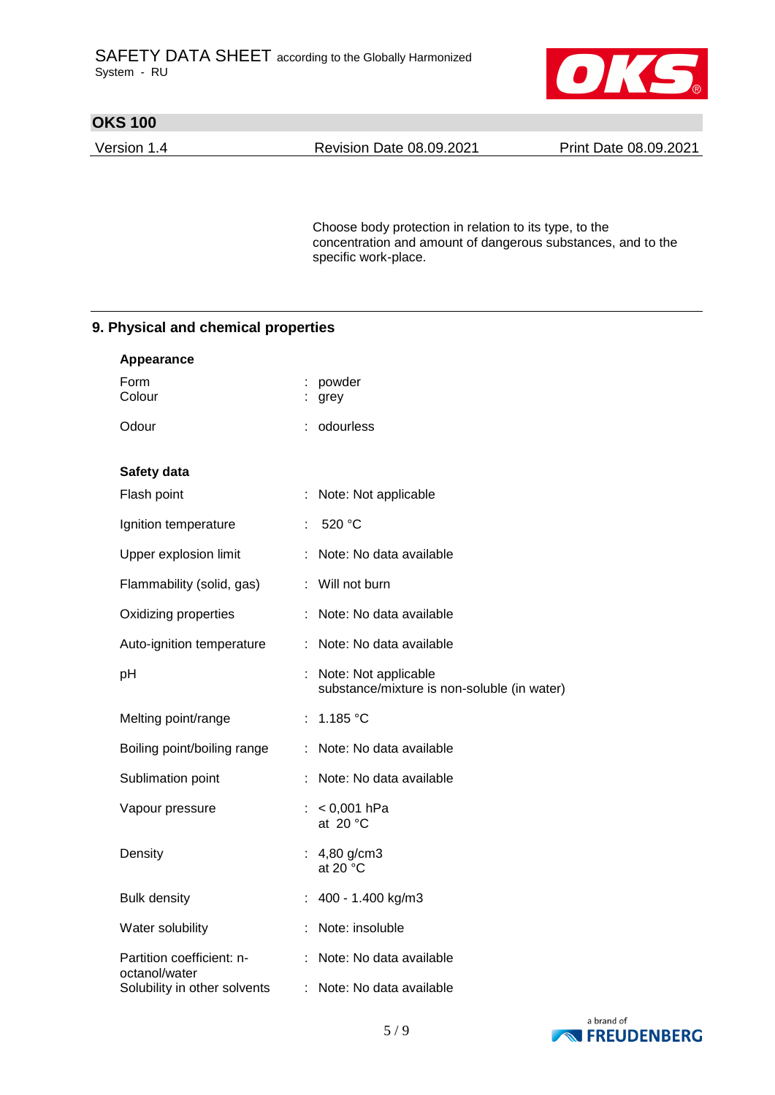

Version 1.4 Revision Date 08.09.2021 Print Date 08.09.2021

Choose body protection in relation to its type, to the concentration and amount of dangerous substances, and to the specific work-place.

## **9. Physical and chemical properties**

| Appearance                                 |    |                                                                     |
|--------------------------------------------|----|---------------------------------------------------------------------|
| Form<br>Colour                             |    | powder<br>grey                                                      |
| Odour                                      | ÷  | odourless                                                           |
| Safety data                                |    |                                                                     |
| Flash point                                | ÷  | Note: Not applicable                                                |
| Ignition temperature                       |    | 520 °C                                                              |
| Upper explosion limit                      | ÷  | Note: No data available                                             |
| Flammability (solid, gas)                  |    | : Will not burn                                                     |
| Oxidizing properties                       |    | Note: No data available                                             |
| Auto-ignition temperature                  | ÷. | Note: No data available                                             |
| pH                                         |    | Note: Not applicable<br>substance/mixture is non-soluble (in water) |
| Melting point/range                        |    | : 1.185 °C                                                          |
| Boiling point/boiling range                |    | : Note: No data available                                           |
| Sublimation point                          |    | Note: No data available                                             |
| Vapour pressure                            |    | : $< 0.001$ hPa<br>at 20 $^{\circ}$ C                               |
| Density                                    |    | : $4,80$ g/cm3<br>at 20 $\degree$ C                                 |
| <b>Bulk density</b>                        |    | 400 - 1.400 kg/m3                                                   |
| Water solubility                           |    | Note: insoluble                                                     |
| Partition coefficient: n-<br>octanol/water | ÷  | Note: No data available                                             |
| Solubility in other solvents               | ÷. | Note: No data available                                             |

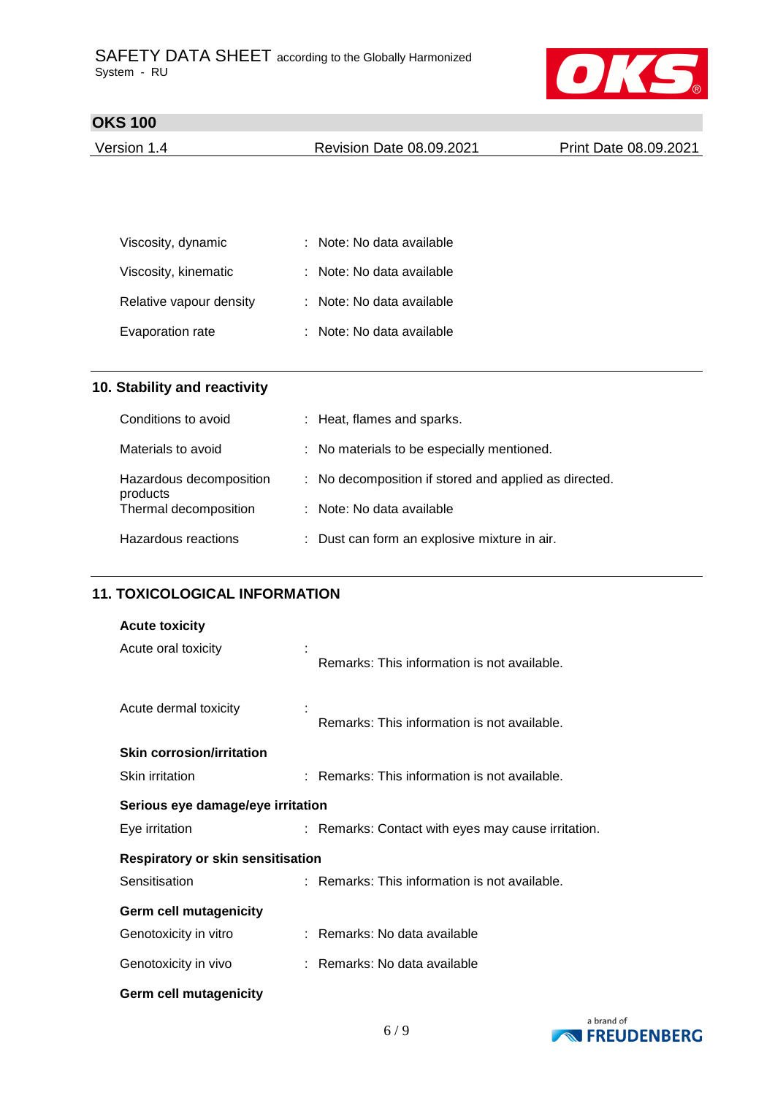

| Version 1.4 | <b>Revision Date 08.09.2021</b> | Print Date 08.09.2021 |
|-------------|---------------------------------|-----------------------|
|             |                                 |                       |

| Viscosity, dynamic      | : Note: No data available |
|-------------------------|---------------------------|
| Viscosity, kinematic    | : Note: No data available |
| Relative vapour density | : Note: No data available |
| Evaporation rate        | : Note: No data available |

## **10. Stability and reactivity**

| Conditions to avoid                 | : Heat, flames and sparks.                            |
|-------------------------------------|-------------------------------------------------------|
| Materials to avoid                  | : No materials to be especially mentioned.            |
| Hazardous decomposition<br>products | : No decomposition if stored and applied as directed. |
| Thermal decomposition               | : Note: No data available                             |
| Hazardous reactions                 | : Dust can form an explosive mixture in air.          |

## **11. TOXICOLOGICAL INFORMATION**

| <b>Acute toxicity</b>                    |                                                    |  |
|------------------------------------------|----------------------------------------------------|--|
| Acute oral toxicity                      | Remarks: This information is not available.        |  |
| Acute dermal toxicity                    | Remarks: This information is not available.        |  |
| <b>Skin corrosion/irritation</b>         |                                                    |  |
| Skin irritation                          | : Remarks: This information is not available.      |  |
| Serious eye damage/eye irritation        |                                                    |  |
| Eye irritation                           | : Remarks: Contact with eyes may cause irritation. |  |
| <b>Respiratory or skin sensitisation</b> |                                                    |  |
| Sensitisation                            | : Remarks: This information is not available.      |  |
| <b>Germ cell mutagenicity</b>            |                                                    |  |
| Genotoxicity in vitro                    | : Remarks: No data available                       |  |
| Genotoxicity in vivo                     | : Remarks: No data available                       |  |
| <b>Germ cell mutagenicity</b>            |                                                    |  |

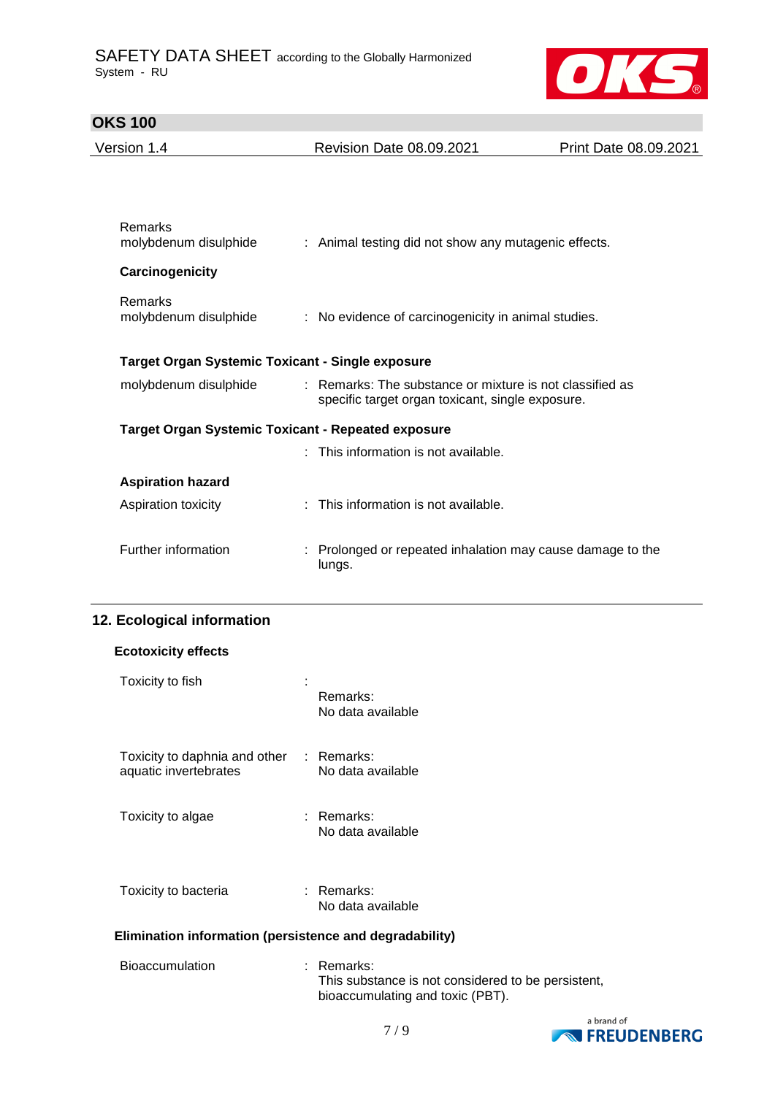

| Version 1.4                                             | Revision Date 08.09.2021                                                                                     | Print Date 08.09.2021 |  |  |  |
|---------------------------------------------------------|--------------------------------------------------------------------------------------------------------------|-----------------------|--|--|--|
|                                                         |                                                                                                              |                       |  |  |  |
|                                                         |                                                                                                              |                       |  |  |  |
| Remarks<br>molybdenum disulphide                        | : Animal testing did not show any mutagenic effects.                                                         |                       |  |  |  |
| Carcinogenicity                                         |                                                                                                              |                       |  |  |  |
| Remarks<br>molybdenum disulphide                        | : No evidence of carcinogenicity in animal studies.                                                          |                       |  |  |  |
| <b>Target Organ Systemic Toxicant - Single exposure</b> |                                                                                                              |                       |  |  |  |
| molybdenum disulphide                                   | : Remarks: The substance or mixture is not classified as<br>specific target organ toxicant, single exposure. |                       |  |  |  |
|                                                         | <b>Target Organ Systemic Toxicant - Repeated exposure</b>                                                    |                       |  |  |  |
|                                                         | : This information is not available.                                                                         |                       |  |  |  |
| <b>Aspiration hazard</b>                                |                                                                                                              |                       |  |  |  |
| Aspiration toxicity                                     | : This information is not available.                                                                         |                       |  |  |  |
| Further information                                     | : Prolonged or repeated inhalation may cause damage to the<br>lungs.                                         |                       |  |  |  |

## **12. Ecological information**

| <b>Ecotoxicity effects</b>                                        |                                                                      |  |
|-------------------------------------------------------------------|----------------------------------------------------------------------|--|
| Toxicity to fish                                                  | Remarks:<br>No data available                                        |  |
| Toxicity to daphnia and other : Remarks:<br>aquatic invertebrates | No data available                                                    |  |
| Toxicity to algae                                                 | : Remarks:<br>No data available                                      |  |
| Toxicity to bacteria                                              | : Remarks:<br>No data available                                      |  |
| Elimination information (persistence and degradability)           |                                                                      |  |
| <b>Bioaccumulation</b>                                            | Remarks:<br>t.<br>This substance is not considered to be persistent, |  |



bioaccumulating and toxic (PBT).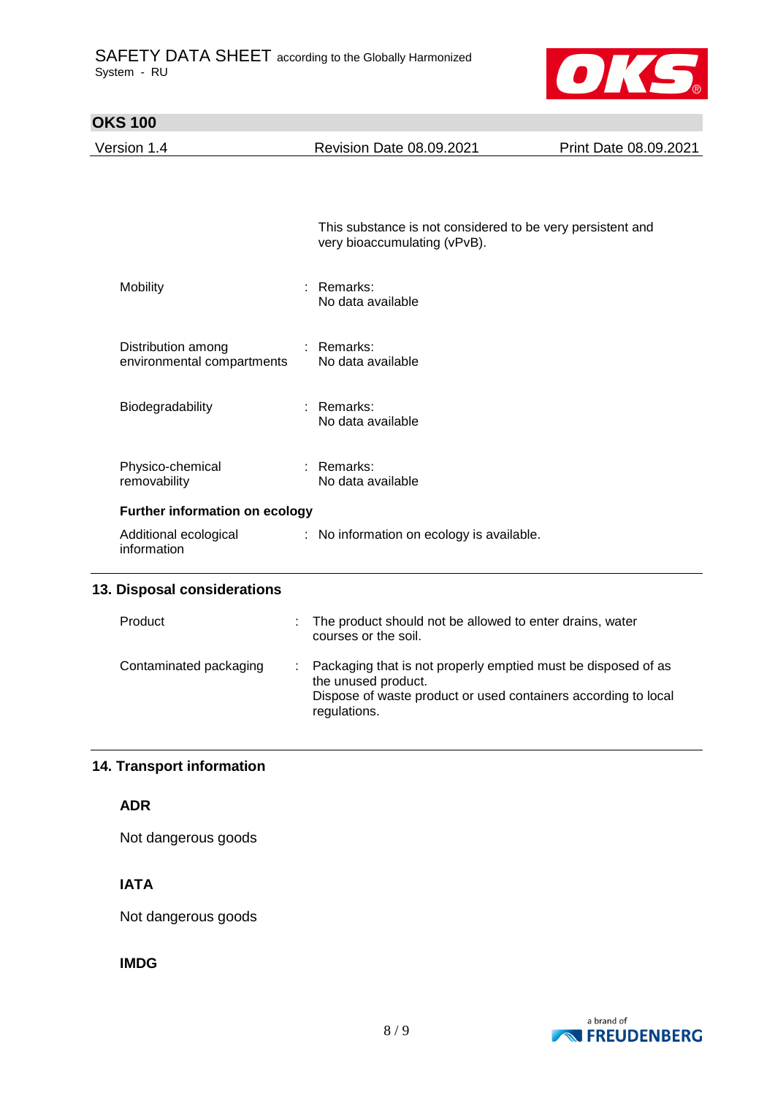

| <b>OKS 100</b>                                   |                                                                                                                                                        |                       |  |  |
|--------------------------------------------------|--------------------------------------------------------------------------------------------------------------------------------------------------------|-----------------------|--|--|
| Version 1.4                                      | <b>Revision Date 08.09.2021</b>                                                                                                                        | Print Date 08.09.2021 |  |  |
|                                                  |                                                                                                                                                        |                       |  |  |
|                                                  | This substance is not considered to be very persistent and<br>very bioaccumulating (vPvB).                                                             |                       |  |  |
| Mobility                                         | Remarks:<br>No data available                                                                                                                          |                       |  |  |
| Distribution among<br>environmental compartments | : Remarks:<br>No data available                                                                                                                        |                       |  |  |
| Biodegradability                                 | : Remarks:<br>No data available                                                                                                                        |                       |  |  |
| Physico-chemical<br>removability                 | $:$ Remarks:<br>No data available                                                                                                                      |                       |  |  |
| Further information on ecology                   |                                                                                                                                                        |                       |  |  |
| Additional ecological<br>information             | : No information on ecology is available.                                                                                                              |                       |  |  |
| 13. Disposal considerations                      |                                                                                                                                                        |                       |  |  |
| Product                                          | The product should not be allowed to enter drains, water<br>courses or the soil.                                                                       |                       |  |  |
| Contaminated packaging<br>÷                      | Packaging that is not properly emptied must be disposed of as<br>the unused product.<br>Dispose of waste product or used containers according to local |                       |  |  |

regulations.

## **14. Transport information**

## **ADR**

Not dangerous goods

## **IATA**

Not dangerous goods

## **IMDG**